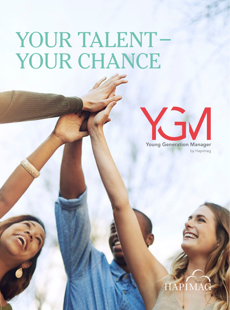# YOUR TALENT– YOUR CHANCE

Young Generation Manager

by Hapimag Resorts



### by Hapimag Resorts HAPIM.

Young Generation Manager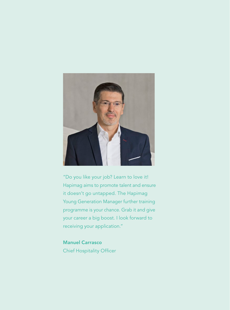

"Do you like your job? Learn to love it! Hapimag aims to promote talent and ensure it doesn't go untapped. The Hapimag Young Generation Manager further training programme is your chance. Grab it and give your career a big boost. I look forward to receiving your application."

Manuel Carrasco Chief Hospitality Officer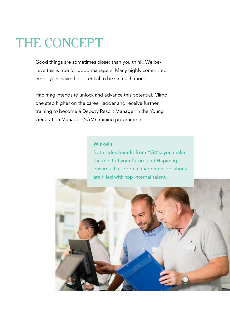## THE CONCEPT

Good things are sometimes closer than you think. We believe this is true for good managers. Many highly committed employees have the potential to be so much more.

Hapimag intends to unlock and advance this potential. Climb one step higher on the career ladder and receive further training to become a Deputy Resort Manager in the Young Generation Manager (YGM) training programme!

#### Win-win

Both sides benefit from YGMs: you make the most of your future and Hapimag ensures that open management positions are filled with top internal talent.

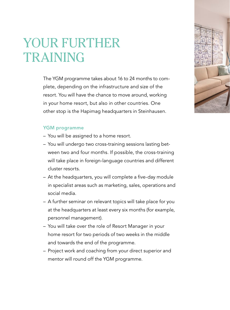### YOUR FURTHER TRAINING

The YGM programme takes about 16 to 24 months to complete, depending on the infrastructure and size of the resort. You will have the chance to move around, working in your home resort, but also in other countries. One other stop is the Hapimag headquarters in Steinhausen.

#### YGM programme

- You will be assigned to a home resort.
- You will undergo two cross-training sessions lasting between two and four months. If possible, the cross-training will take place in foreign-language countries and different cluster resorts.
- At the headquarters, you will complete a five-day module in specialist areas such as marketing, sales, operations and social media.
- A further seminar on relevant topics will take place for you at the headquarters at least every six months (for example, personnel management).
- You will take over the role of Resort Manager in your home resort for two periods of two weeks in the middle and towards the end of the programme.
- Project work and coaching from your direct superior and mentor will round off the YGM programme.

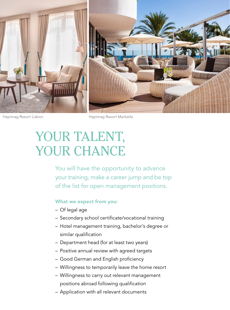

Hapimag Resort Lisbon Hapimag Resort Marbella

## YOUR TALENT, YOUR CHANCE

You will have the opportunity to advance your training, make a career jump and be top of the list for open management positions.

#### What we expect from you:

- Of legal age
- Secondary school certificate/vocational training
- Hotel management training, bachelor's degree or similar qualification
- Department head (for at least two years)
- Positive annual review with agreed targets
- Good German and English proficiency
- Willingness to temporarily leave the home resort
- Willingness to carry out relevant management positions abroad following qualification
- Application with all relevant documents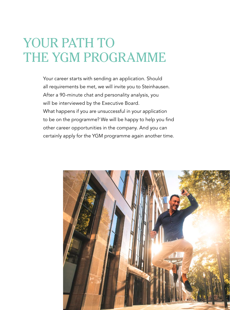### YOUR PATH TO THE YGM PROGRAMME

Your career starts with sending an application. Should all requirements be met, we will invite you to Steinhausen. After a 90-minute chat and personality analysis, you will be interviewed by the Executive Board. What happens if you are unsuccessful in your application to be on the programme? We will be happy to help you find other career opportunities in the company. And you can certainly apply for the YGM programme again another time.

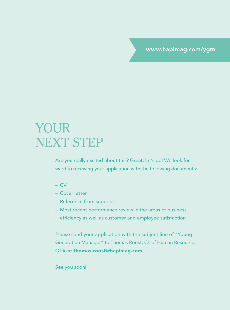www.hapimag.com/ygm

### YOUR NEXT STEP

Are you really excited about this? Great, let's go! We look forward to receiving your application with the following documents:

- CV
- Cover letter
- Reference from superior
- Most recent performance review in the areas of business efficiency as well as customer and employee satisfaction

Please send your application with the subject line of "Young Generation Manager" to Thomas Roost, Chief Human Resources Officer: thomas.roost@hapimag.com

See you soon!